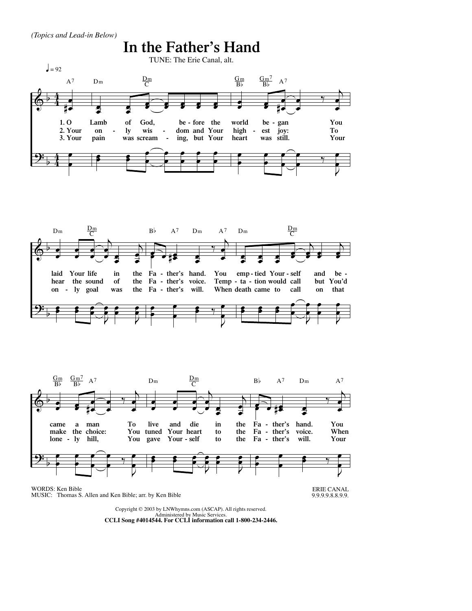





## WORDS: Ken Bible MUSIC: Thomas S. Allen and Ken Bible; arr. by Ken Bible



9.9.9.9.8.8.9.9.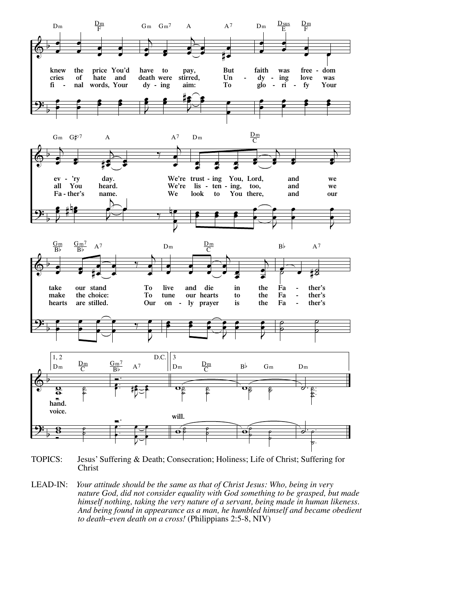

TOPICS: Jesus' Suffering & Death; Consecration; Holiness; Life of Christ; Suffering for Christ

LEAD-IN: *Your attitude should be the same as that of Christ Jesus: Who, being in very nature God, did not consider equality with God something to be grasped, but made himself nothing, taking the very nature of a servant, being made in human likeness. And being found in appearance as a man, he humbled himself and became obedient to death–even death on a cross!* (Philippians 2:5-8, NIV)